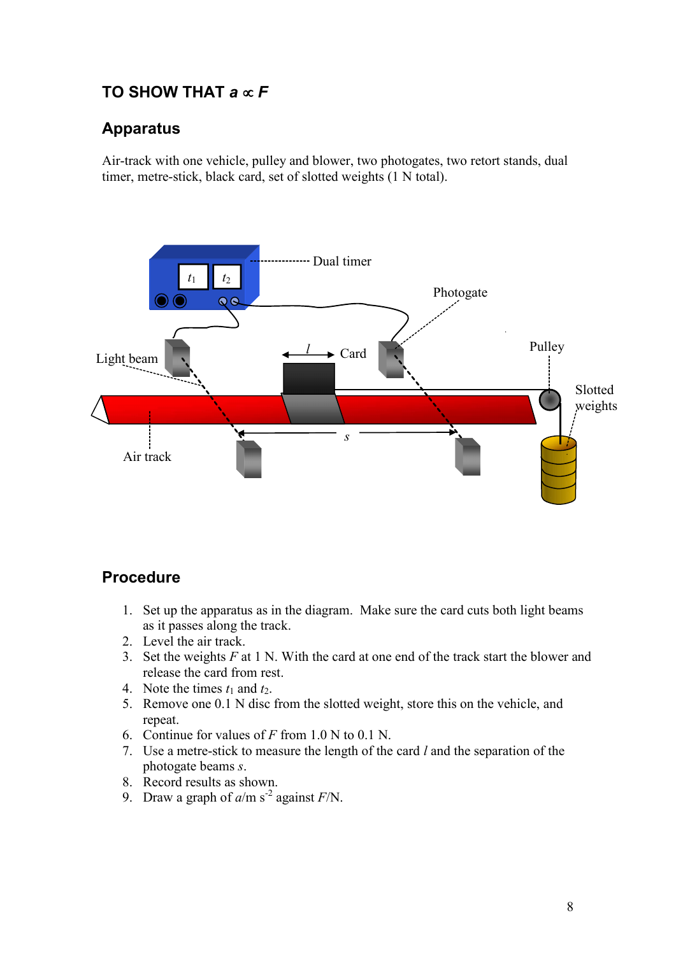# TO SHOW THAT  $a \propto F$

## Apparatus

Air-track with one vehicle, pulley and blower, two photogates, two retort stands, dual timer, metre-stick, black card, set of slotted weights (1 N total).



## Procedure

- 1. Set up the apparatus as in the diagram. Make sure the card cuts both light beams as it passes along the track.
- 2. Level the air track.
- 3. Set the weights  $F$  at 1 N. With the card at one end of the track start the blower and release the card from rest.
- 
- 4. Note the times  $t_1$  and  $t_2$ .<br>5. Remove one 0.1 N disc from the slotted weight, store this on the vehicle, and repeat.
- 6. Continue for values of  $F$  from 1.0 N to 0.1 N.
- 7. Use a metre-stick to measure the length of the card  $l$  and the separation of the photogate beams *s*.<br>8. Record results as shown.
- 
- 9. Draw a graph of  $a/m s<sup>-2</sup>$  against  $F/N$ .